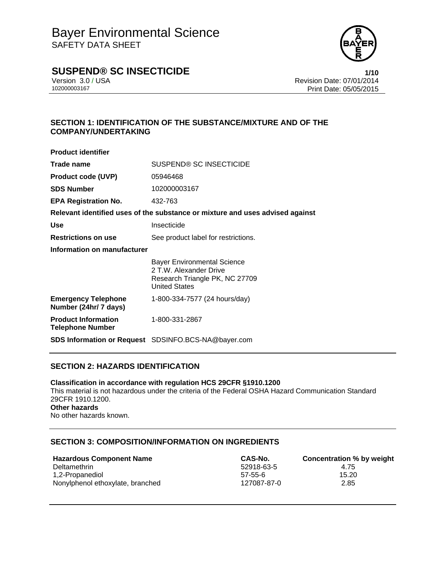

# **SUSPEND® SC INSECTICIDE 1/10**

Version 3.0 / USA **Version 3.0 / USA** Revision Date: 07/01/2014<br>10200003167 **Print Date: 05/05/2015** Print Date: 05/05/2015

## **SECTION 1: IDENTIFICATION OF THE SUBSTANCE/MIXTURE AND OF THE COMPANY/UNDERTAKING**

| <b>Product identifier</b>                             |                                                                                                                        |  |
|-------------------------------------------------------|------------------------------------------------------------------------------------------------------------------------|--|
| Trade name                                            | <b>SUSPEND® SC INSECTICIDE</b>                                                                                         |  |
| <b>Product code (UVP)</b>                             | 05946468                                                                                                               |  |
| <b>SDS Number</b>                                     | 102000003167                                                                                                           |  |
| <b>EPA Registration No.</b>                           | 432-763                                                                                                                |  |
|                                                       | Relevant identified uses of the substance or mixture and uses advised against                                          |  |
| <b>Use</b>                                            | Insecticide                                                                                                            |  |
| <b>Restrictions on use</b>                            | See product label for restrictions.                                                                                    |  |
| Information on manufacturer                           |                                                                                                                        |  |
|                                                       | <b>Bayer Environmental Science</b><br>2 T.W. Alexander Drive<br>Research Triangle PK, NC 27709<br><b>United States</b> |  |
| <b>Emergency Telephone</b><br>Number (24hr/ 7 days)   | 1-800-334-7577 (24 hours/day)                                                                                          |  |
| <b>Product Information</b><br><b>Telephone Number</b> | 1-800-331-2867                                                                                                         |  |
|                                                       | <b>SDS Information or Request</b> SDSINFO.BCS-NA@bayer.com                                                             |  |

### **SECTION 2: HAZARDS IDENTIFICATION**

**Classification in accordance with regulation HCS 29CFR §1910.1200**  This material is not hazardous under the criteria of the Federal OSHA Hazard Communication Standard 29CFR 1910.1200. **Other hazards**  No other hazards known.

### **SECTION 3: COMPOSITION/INFORMATION ON INGREDIENTS**

| <b>Hazardous Component Name</b>  | CAS-No.     | Concentration % by weight |
|----------------------------------|-------------|---------------------------|
| Deltamethrin                     | 52918-63-5  | 4.75                      |
| 1,2-Propanediol                  | $57-55-6$   | 15.20                     |
| Nonylphenol ethoxylate, branched | 127087-87-0 | 2.85                      |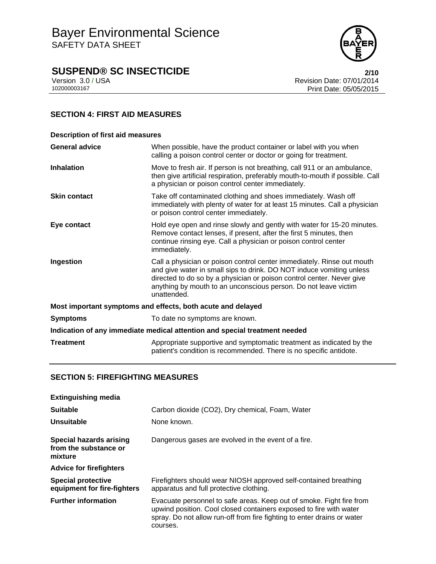

# **SUSPEND® SC INSECTICIDE**<br>Version 3.0 / USA **2/10**<br>Revision Date: 07/01/2014

Version 3.0 / USA **Revision Date: 07/01/2014**<br>10200003167 **Revision Date: 07/01/2014** Print Date: 05/05/2015

# **SECTION 4: FIRST AID MEASURES**

| <b>Description of first aid measures</b>                                   |                                                                                                                                                                                                                                                                                                           |  |
|----------------------------------------------------------------------------|-----------------------------------------------------------------------------------------------------------------------------------------------------------------------------------------------------------------------------------------------------------------------------------------------------------|--|
| <b>General advice</b>                                                      | When possible, have the product container or label with you when<br>calling a poison control center or doctor or going for treatment.                                                                                                                                                                     |  |
| <b>Inhalation</b>                                                          | Move to fresh air. If person is not breathing, call 911 or an ambulance,<br>then give artificial respiration, preferably mouth-to-mouth if possible. Call<br>a physician or poison control center immediately.                                                                                            |  |
| <b>Skin contact</b>                                                        | Take off contaminated clothing and shoes immediately. Wash off<br>immediately with plenty of water for at least 15 minutes. Call a physician<br>or poison control center immediately.                                                                                                                     |  |
| Eye contact                                                                | Hold eye open and rinse slowly and gently with water for 15-20 minutes.<br>Remove contact lenses, if present, after the first 5 minutes, then<br>continue rinsing eye. Call a physician or poison control center<br>immediately.                                                                          |  |
| Ingestion                                                                  | Call a physician or poison control center immediately. Rinse out mouth<br>and give water in small sips to drink. DO NOT induce vomiting unless<br>directed to do so by a physician or poison control center. Never give<br>anything by mouth to an unconscious person. Do not leave victim<br>unattended. |  |
| Most important symptoms and effects, both acute and delayed                |                                                                                                                                                                                                                                                                                                           |  |
| <b>Symptoms</b>                                                            | To date no symptoms are known.                                                                                                                                                                                                                                                                            |  |
| Indication of any immediate medical attention and special treatment needed |                                                                                                                                                                                                                                                                                                           |  |
| <b>Treatment</b>                                                           | Appropriate supportive and symptomatic treatment as indicated by the<br>patient's condition is recommended. There is no specific antidote.                                                                                                                                                                |  |

### **SECTION 5: FIREFIGHTING MEASURES**

| <b>Extinguishing media</b>                                  |                                                                                                                                                                                                                                   |
|-------------------------------------------------------------|-----------------------------------------------------------------------------------------------------------------------------------------------------------------------------------------------------------------------------------|
| <b>Suitable</b>                                             | Carbon dioxide (CO2), Dry chemical, Foam, Water                                                                                                                                                                                   |
| Unsuitable                                                  | None known.                                                                                                                                                                                                                       |
| Special hazards arising<br>from the substance or<br>mixture | Dangerous gases are evolved in the event of a fire.                                                                                                                                                                               |
| <b>Advice for firefighters</b>                              |                                                                                                                                                                                                                                   |
| <b>Special protective</b><br>equipment for fire-fighters    | Firefighters should wear NIOSH approved self-contained breathing<br>apparatus and full protective clothing.                                                                                                                       |
| <b>Further information</b>                                  | Evacuate personnel to safe areas. Keep out of smoke. Fight fire from<br>upwind position. Cool closed containers exposed to fire with water<br>spray. Do not allow run-off from fire fighting to enter drains or water<br>courses. |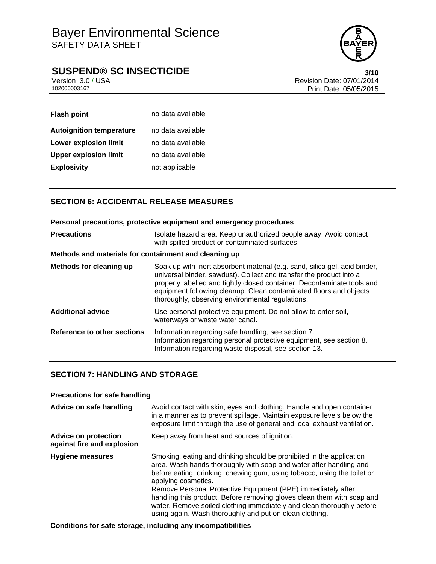

# **SUSPEND® SC INSECTICIDE**<br>Version 3.0 / USA **8/10**<br>Revision Date: 07/01/2014

Version 3.0 / USA **Version 3.0 / USA** Revision Date: 07/01/2014<br>10200003167 **Print Date: 05/05/2015** Print Date: 05/05/2015

| <b>Flash point</b>              | no data available |
|---------------------------------|-------------------|
| <b>Autoignition temperature</b> | no data available |
| Lower explosion limit           | no data available |
| <b>Upper explosion limit</b>    | no data available |
| <b>Explosivity</b>              | not applicable    |

# **SECTION 6: ACCIDENTAL RELEASE MEASURES**

|                                                       | Personal precautions, protective equipment and emergency procedures                                                                                                                                                                                                                                                                                    |  |
|-------------------------------------------------------|--------------------------------------------------------------------------------------------------------------------------------------------------------------------------------------------------------------------------------------------------------------------------------------------------------------------------------------------------------|--|
| <b>Precautions</b>                                    | Isolate hazard area. Keep unauthorized people away. Avoid contact<br>with spilled product or contaminated surfaces.                                                                                                                                                                                                                                    |  |
| Methods and materials for containment and cleaning up |                                                                                                                                                                                                                                                                                                                                                        |  |
| Methods for cleaning up                               | Soak up with inert absorbent material (e.g. sand, silica gel, acid binder,<br>universal binder, sawdust). Collect and transfer the product into a<br>properly labelled and tightly closed container. Decontaminate tools and<br>equipment following cleanup. Clean contaminated floors and objects<br>thoroughly, observing environmental regulations. |  |
| <b>Additional advice</b>                              | Use personal protective equipment. Do not allow to enter soil,<br>waterways or waste water canal.                                                                                                                                                                                                                                                      |  |
| <b>Reference to other sections</b>                    | Information regarding safe handling, see section 7.<br>Information regarding personal protective equipment, see section 8.<br>Information regarding waste disposal, see section 13.                                                                                                                                                                    |  |

### **SECTION 7: HANDLING AND STORAGE**

| <b>Precautions for safe handling</b>                      |                                                                                                                                                                                                                                                                                                                                                                                                                                                                                                                             |  |
|-----------------------------------------------------------|-----------------------------------------------------------------------------------------------------------------------------------------------------------------------------------------------------------------------------------------------------------------------------------------------------------------------------------------------------------------------------------------------------------------------------------------------------------------------------------------------------------------------------|--|
| Advice on safe handling                                   | Avoid contact with skin, eyes and clothing. Handle and open container<br>in a manner as to prevent spillage. Maintain exposure levels below the<br>exposure limit through the use of general and local exhaust ventilation.                                                                                                                                                                                                                                                                                                 |  |
| <b>Advice on protection</b><br>against fire and explosion | Keep away from heat and sources of ignition.                                                                                                                                                                                                                                                                                                                                                                                                                                                                                |  |
| Hygiene measures                                          | Smoking, eating and drinking should be prohibited in the application<br>area. Wash hands thoroughly with soap and water after handling and<br>before eating, drinking, chewing gum, using tobacco, using the toilet or<br>applying cosmetics.<br>Remove Personal Protective Equipment (PPE) immediately after<br>handling this product. Before removing gloves clean them with soap and<br>water. Remove soiled clothing immediately and clean thoroughly before<br>using again. Wash thoroughly and put on clean clothing. |  |

**Conditions for safe storage, including any incompatibilities**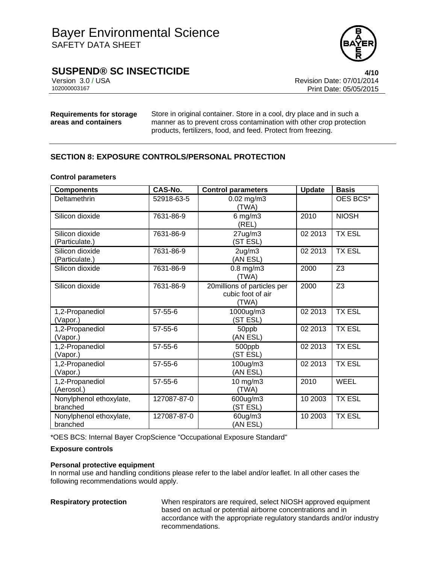

# **SUSPEND® SC INSECTICIDE 4/10**

Version 3.0 / USA **Version 3.0 / USA** Revision Date: 07/01/2014<br>10200003167 Print Date: 05/05/2015 Print Date: 05/05/2015

**Requirements for storage areas and containers**

Store in original container. Store in a cool, dry place and in such a manner as to prevent cross contamination with other crop protection products, fertilizers, food, and feed. Protect from freezing.

# **SECTION 8: EXPOSURE CONTROLS/PERSONAL PROTECTION**

#### **Control parameters**

| <b>Components</b>                   | CAS-No.       | <b>Control parameters</b>                                 | <b>Update</b> | <b>Basis</b>   |
|-------------------------------------|---------------|-----------------------------------------------------------|---------------|----------------|
| Deltamethrin                        | 52918-63-5    | $0.02$ mg/m $3$<br>(TWA)                                  |               | OES BCS*       |
| Silicon dioxide                     | 7631-86-9     | $6$ mg/m $3$<br>(REL)                                     | 2010          | <b>NIOSH</b>   |
| Silicon dioxide<br>(Particulate.)   | 7631-86-9     | $27$ ug/m $3$<br>(ST ESL)                                 | 02 2013       | <b>TX ESL</b>  |
| Silicon dioxide<br>(Particulate.)   | 7631-86-9     | $2$ ug/m $3$<br>(AN ESL)                                  | 02 2013       | <b>TX ESL</b>  |
| Silicon dioxide                     | 7631-86-9     | 0.8 mg/m3<br>(TWA)                                        | 2000          | Z <sub>3</sub> |
| Silicon dioxide                     | 7631-86-9     | 20millions of particles per<br>cubic foot of air<br>(TWA) | 2000          | Z <sub>3</sub> |
| 1,2-Propanediol<br>(Vapor.)         | $57 - 55 - 6$ | 1000ug/m3<br>(ST ESL)                                     | 02 2013       | <b>TX ESL</b>  |
| 1,2-Propanediol<br>(Vapor.)         | $57 - 55 - 6$ | 50ppb<br>(AN ESL)                                         | 02 2013       | <b>TX ESL</b>  |
| 1,2-Propanediol<br>(Vapor.)         | $57 - 55 - 6$ | 500ppb<br>(ST ESL)                                        | 02 2013       | <b>TX ESL</b>  |
| 1,2-Propanediol<br>(Vapor.)         | $57 - 55 - 6$ | 100ug/m3<br>(AN ESL)                                      | 02 2013       | <b>TX ESL</b>  |
| 1,2-Propanediol<br>(Aerosol.)       | $57 - 55 - 6$ | 10 mg/m3<br>(TWA)                                         | 2010          | <b>WEEL</b>    |
| Nonylphenol ethoxylate,<br>branched | 127087-87-0   | 600ug/m3<br>(ST ESL)                                      | 10 2003       | <b>TX ESL</b>  |
| Nonylphenol ethoxylate,<br>branched | 127087-87-0   | 60ug/m3<br>(AN ESL)                                       | 10 2003       | <b>TX ESL</b>  |

\*OES BCS: Internal Bayer CropScience "Occupational Exposure Standard"

### **Exposure controls**

#### **Personal protective equipment**

In normal use and handling conditions please refer to the label and/or leaflet. In all other cases the following recommendations would apply.

**Respiratory protection** When respirators are required, select NIOSH approved equipment based on actual or potential airborne concentrations and in accordance with the appropriate regulatory standards and/or industry recommendations.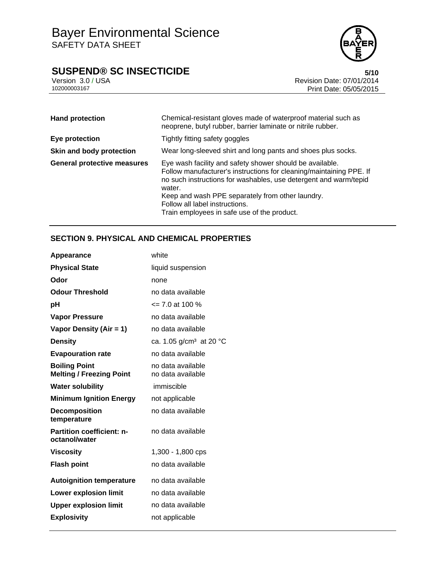# **SUSPEND® SC INSECTICIDE**<br>Version 3.0 / USA **5/10**<br>Revision Date: 07/01/2014



Version 3.0 / USA Revision Date: 07/01/2014<br>10200003167<br>Print Date: 05/05/2015 Print Date: 05/05/2015

| <b>Hand protection</b>             | Chemical-resistant gloves made of waterproof material such as<br>neoprene, butyl rubber, barrier laminate or nitrile rubber.                                                                                                                                                                                                                       |
|------------------------------------|----------------------------------------------------------------------------------------------------------------------------------------------------------------------------------------------------------------------------------------------------------------------------------------------------------------------------------------------------|
| Eye protection                     | Tightly fitting safety goggles                                                                                                                                                                                                                                                                                                                     |
| Skin and body protection           | Wear long-sleeved shirt and long pants and shoes plus socks.                                                                                                                                                                                                                                                                                       |
| <b>General protective measures</b> | Eye wash facility and safety shower should be available.<br>Follow manufacturer's instructions for cleaning/maintaining PPE. If<br>no such instructions for washables, use detergent and warm/tepid<br>water.<br>Keep and wash PPE separately from other laundry.<br>Follow all label instructions.<br>Train employees in safe use of the product. |

# **SECTION 9. PHYSICAL AND CHEMICAL PROPERTIES**

| Appearance                                              | white                                  |
|---------------------------------------------------------|----------------------------------------|
| <b>Physical State</b>                                   | liquid suspension                      |
| Odor                                                    | none                                   |
| <b>Odour Threshold</b>                                  | no data available                      |
| рH                                                      | $\leq$ 7.0 at 100 %                    |
| <b>Vapor Pressure</b>                                   | no data available                      |
| Vapor Density (Air = 1)                                 | no data available                      |
| <b>Density</b>                                          | ca. 1.05 g/cm <sup>3</sup> at 20 °C    |
| <b>Evapouration rate</b>                                | no data available                      |
| <b>Boiling Point</b><br><b>Melting / Freezing Point</b> | no data available<br>no data available |
| <b>Water solubility</b>                                 | immiscible                             |
| <b>Minimum Ignition Energy</b>                          | not applicable                         |
| <b>Decomposition</b><br>temperature                     | no data available                      |
| <b>Partition coefficient: n-</b><br>octanol/water       | no data available                      |
| <b>Viscosity</b>                                        | 1,300 - 1,800 cps                      |
| <b>Flash point</b>                                      | no data available                      |
| <b>Autoignition temperature</b>                         | no data available                      |
| <b>Lower explosion limit</b>                            | no data available                      |
| <b>Upper explosion limit</b>                            | no data available                      |
| <b>Explosivity</b>                                      | not applicable                         |
|                                                         |                                        |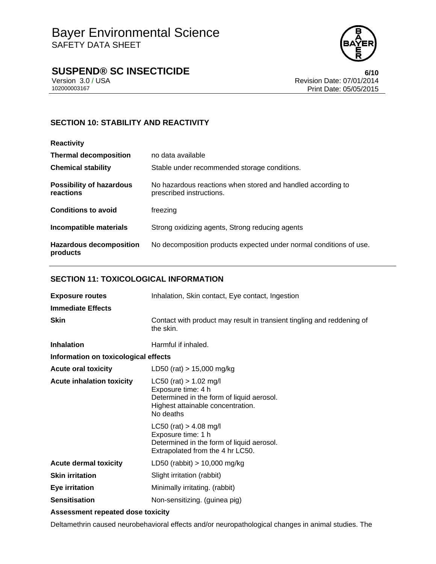

# **SUSPEND® SC INSECTICIDE**<br>Version 3.0 / USA **6/10**<br>Revision Date: 07/01/2014

Version 3.0 / USA **Version 3.0 / USA** Revision Date: 07/01/2014<br>10200003167 **Print Date: 05/05/2015** Print Date: 05/05/2015

## **SECTION 10: STABILITY AND REACTIVITY**

| <b>Reactivity</b>                            |                                                                                         |
|----------------------------------------------|-----------------------------------------------------------------------------------------|
| <b>Thermal decomposition</b>                 | no data available                                                                       |
| <b>Chemical stability</b>                    | Stable under recommended storage conditions.                                            |
| <b>Possibility of hazardous</b><br>reactions | No hazardous reactions when stored and handled according to<br>prescribed instructions. |
| <b>Conditions to avoid</b>                   | freezing                                                                                |
| Incompatible materials                       | Strong oxidizing agents, Strong reducing agents                                         |
| <b>Hazardous decomposition</b><br>products   | No decomposition products expected under normal conditions of use.                      |

### **SECTION 11: TOXICOLOGICAL INFORMATION**

| <b>Exposure routes</b>               | Inhalation, Skin contact, Eye contact, Ingestion                                                                                                |  |
|--------------------------------------|-------------------------------------------------------------------------------------------------------------------------------------------------|--|
| <b>Immediate Effects</b>             |                                                                                                                                                 |  |
| <b>Skin</b>                          | Contact with product may result in transient tingling and reddening of<br>the skin.                                                             |  |
| <b>Inhalation</b>                    | Harmful if inhaled.                                                                                                                             |  |
| Information on toxicological effects |                                                                                                                                                 |  |
| <b>Acute oral toxicity</b>           | LD50 (rat) > 15,000 mg/kg                                                                                                                       |  |
| <b>Acute inhalation toxicity</b>     | $LC50$ (rat) $> 1.02$ mg/l<br>Exposure time: 4 h<br>Determined in the form of liquid aerosol.<br>Highest attainable concentration.<br>No deaths |  |
|                                      | $LC50$ (rat) > 4.08 mg/l<br>Exposure time: 1 h<br>Determined in the form of liquid aerosol.<br>Extrapolated from the 4 hr LC50.                 |  |
| <b>Acute dermal toxicity</b>         | LD50 (rabbit) $> 10,000$ mg/kg                                                                                                                  |  |
| <b>Skin irritation</b>               | Slight irritation (rabbit)                                                                                                                      |  |
| <b>Eye irritation</b>                | Minimally irritating. (rabbit)                                                                                                                  |  |
| <b>Sensitisation</b>                 | Non-sensitizing. (guinea pig)                                                                                                                   |  |
| Assessment repeated dose toxicity    |                                                                                                                                                 |  |

Deltamethrin caused neurobehavioral effects and/or neuropathological changes in animal studies. The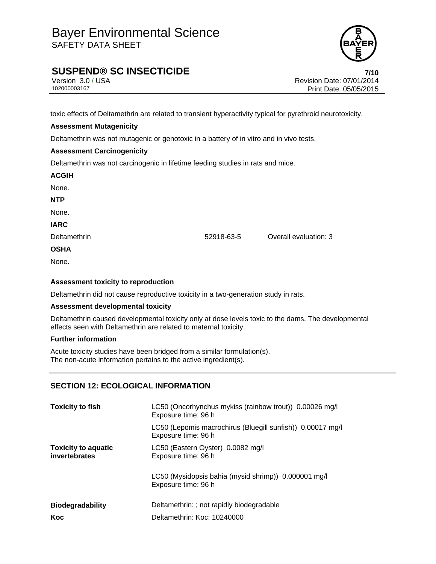

# **SUSPEND® SC INSECTICIDE 7/10**

Version 3.0 / USA Revision Date: 07/01/2014<br>102000003167<br>Print Date: 05/05/2015 Print Date: 05/05/2015

toxic effects of Deltamethrin are related to transient hyperactivity typical for pyrethroid neurotoxicity.

### **Assessment Mutagenicity**

Deltamethrin was not mutagenic or genotoxic in a battery of in vitro and in vivo tests.

### **Assessment Carcinogenicity**

Deltamethrin was not carcinogenic in lifetime feeding studies in rats and mice.

| <b>ACGIH</b> |
|--------------|
| None.        |
| NTP          |
| None.        |
| <b>IARC</b>  |
| Deltamethrin |
| <b>OSHA</b>  |
|              |

None.

### **Assessment toxicity to reproduction**

Deltamethrin did not cause reproductive toxicity in a two-generation study in rats.

#### **Assessment developmental toxicity**

Deltamethrin caused developmental toxicity only at dose levels toxic to the dams. The developmental effects seen with Deltamethrin are related to maternal toxicity.

52918-63-5 Overall evaluation: 3

#### **Further information**

Acute toxicity studies have been bridged from a similar formulation(s). The non-acute information pertains to the active ingredient(s).

### **SECTION 12: ECOLOGICAL INFORMATION**

| <b>Toxicity to fish</b>                     | LC50 (Oncorhynchus mykiss (rainbow trout)) 0.00026 mg/l<br>Exposure time: 96 h    |  |  |
|---------------------------------------------|-----------------------------------------------------------------------------------|--|--|
|                                             | LC50 (Lepomis macrochirus (Bluegill sunfish)) 0.00017 mg/l<br>Exposure time: 96 h |  |  |
| <b>Toxicity to aquatic</b><br>invertebrates | LC50 (Eastern Oyster) 0.0082 mg/l<br>Exposure time: 96 h                          |  |  |
|                                             | LC50 (Mysidopsis bahia (mysid shrimp)) 0.000001 mg/l<br>Exposure time: 96 h       |  |  |
| <b>Biodegradability</b>                     | Deltamethrin: ; not rapidly biodegradable                                         |  |  |
| Koc                                         | Deltamethrin: Koc: 10240000                                                       |  |  |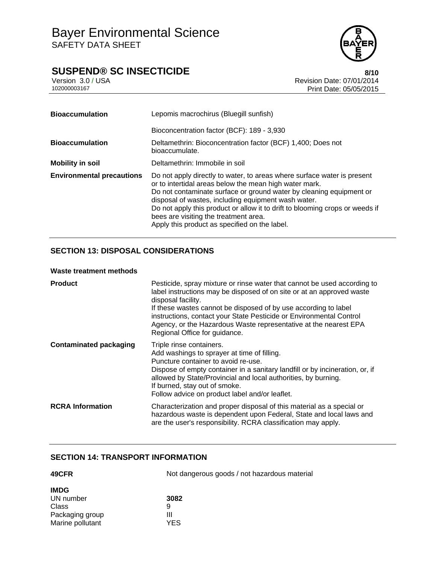# **SUSPEND® SC INSECTICIDE**<br>Version 3.0 / USA **8/10**<br>Revision Date: 07/01/2014

Version 3.0 / USA Revision Date: 07/01/2014<br>10200003167 Print Date: 05/05/2015 Print Date: 05/05/2015

| <b>Bioaccumulation</b>           | Lepomis macrochirus (Bluegill sunfish)                                                                                                                                                                                                                                                                                                                                                                                                    |  |  |
|----------------------------------|-------------------------------------------------------------------------------------------------------------------------------------------------------------------------------------------------------------------------------------------------------------------------------------------------------------------------------------------------------------------------------------------------------------------------------------------|--|--|
|                                  | Bioconcentration factor (BCF): 189 - 3,930                                                                                                                                                                                                                                                                                                                                                                                                |  |  |
| <b>Bioaccumulation</b>           | Deltamethrin: Bioconcentration factor (BCF) 1,400; Does not<br>bioaccumulate.                                                                                                                                                                                                                                                                                                                                                             |  |  |
| <b>Mobility in soil</b>          | Deltamethrin: Immobile in soil                                                                                                                                                                                                                                                                                                                                                                                                            |  |  |
| <b>Environmental precautions</b> | Do not apply directly to water, to areas where surface water is present<br>or to intertidal areas below the mean high water mark.<br>Do not contaminate surface or ground water by cleaning equipment or<br>disposal of wastes, including equipment wash water.<br>Do not apply this product or allow it to drift to blooming crops or weeds if<br>bees are visiting the treatment area.<br>Apply this product as specified on the label. |  |  |

## **SECTION 13: DISPOSAL CONSIDERATIONS**

### **Waste treatment methods**

| <b>Product</b>                | Pesticide, spray mixture or rinse water that cannot be used according to<br>label instructions may be disposed of on site or at an approved waste<br>disposal facility.<br>If these wastes cannot be disposed of by use according to label<br>instructions, contact your State Pesticide or Environmental Control<br>Agency, or the Hazardous Waste representative at the nearest EPA<br>Regional Office for guidance. |
|-------------------------------|------------------------------------------------------------------------------------------------------------------------------------------------------------------------------------------------------------------------------------------------------------------------------------------------------------------------------------------------------------------------------------------------------------------------|
| <b>Contaminated packaging</b> | Triple rinse containers.<br>Add washings to sprayer at time of filling.<br>Puncture container to avoid re-use.<br>Dispose of empty container in a sanitary landfill or by incineration, or, if<br>allowed by State/Provincial and local authorities, by burning.<br>If burned, stay out of smoke.<br>Follow advice on product label and/or leaflet.                                                                    |
| <b>RCRA</b> Information       | Characterization and proper disposal of this material as a special or<br>hazardous waste is dependent upon Federal, State and local laws and<br>are the user's responsibility. RCRA classification may apply.                                                                                                                                                                                                          |

### **SECTION 14: TRANSPORT INFORMATION**

| 49CFR                                                                    | Not dangerous goods / not hazardous material |  |
|--------------------------------------------------------------------------|----------------------------------------------|--|
| <b>IMDG</b><br>UN number<br>Class<br>Packaging group<br>Marine pollutant | 3082<br>9<br>Ш<br>YES                        |  |

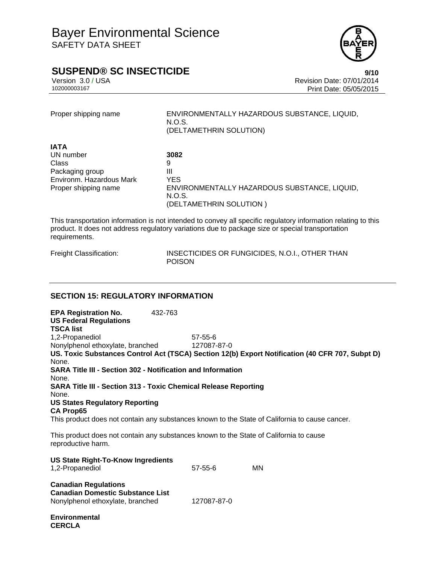

# **SUSPEND® SC INSECTICIDE 9/10**

**IATA** 

Version 3.0 / USA **Version 3.0 / USA** Revision Date: 07/01/2014<br>10200003167 Print Date: 05/05/2015 Print Date: 05/05/2015

Proper shipping name ENVIRONMENTALLY HAZARDOUS SUBSTANCE, LIQUID, N.O.S. (DELTAMETHRIN SOLUTION)

| IAIA                     |                                                        |
|--------------------------|--------------------------------------------------------|
| UN number                | 3082                                                   |
| Class                    | 9                                                      |
| Packaging group          | Ш                                                      |
| Environm. Hazardous Mark | YES                                                    |
| Proper shipping name     | ENVIRONMENTALLY HAZARDOUS SUBSTANCE, LIQUID,<br>N.O.S. |
|                          | (DELTAMETHRIN SOLUTION)                                |

This transportation information is not intended to convey all specific regulatory information relating to this product. It does not address regulatory variations due to package size or special transportation requirements.

Freight Classification: INSECTICIDES OR FUNGICIDES, N.O.I., OTHER THAN POISON

### **SECTION 15: REGULATORY INFORMATION**

**EPA Registration No.** 432-763 **US Federal Regulations TSCA list** 1,2-Propanediol 57-55-6 Nonylphenol ethoxylate, branched 127087-87-0 **US. Toxic Substances Control Act (TSCA) Section 12(b) Export Notification (40 CFR 707, Subpt D)** None. **SARA Title III - Section 302 - Notification and Information** None. **SARA Title III - Section 313 - Toxic Chemical Release Reporting** None. **US States Regulatory Reporting CA Prop65** This product does not contain any substances known to the State of California to cause cancer. This product does not contain any substances known to the State of California to cause reproductive harm.

| US State Right-To-Know Ingredients<br>1,2-Propanediol                                                      | $57 - 55 - 6$ | ΜN |
|------------------------------------------------------------------------------------------------------------|---------------|----|
| <b>Canadian Regulations</b><br><b>Canadian Domestic Substance List</b><br>Nonylphenol ethoxylate, branched | 127087-87-0   |    |
| Environmental<br><b>CERCLA</b>                                                                             |               |    |